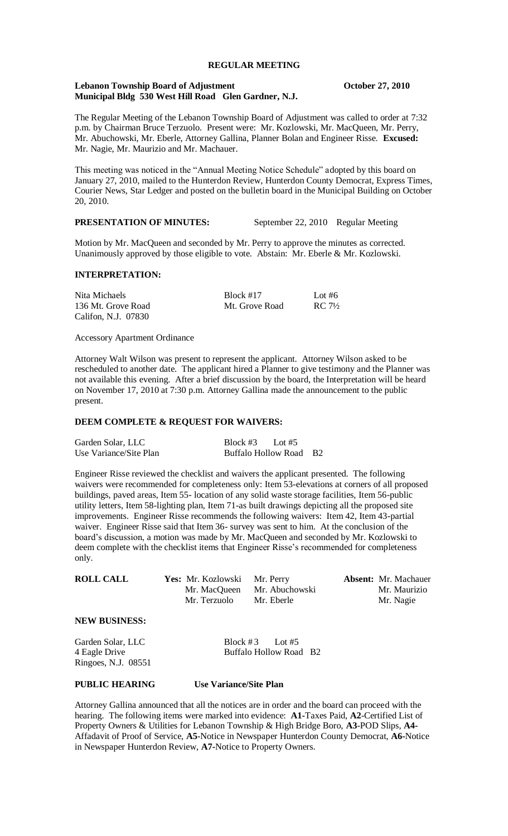#### **REGULAR MEETING**

#### **Lebanon Township Board of Adjustment Constanting Constanting Constanting Constanting Constanting Constanting Constanting Constanting Constanting Constanting Constanting Constanting Constanting Constanting Constanting Co Municipal Bldg 530 West Hill Road Glen Gardner, N.J.**

The Regular Meeting of the Lebanon Township Board of Adjustment was called to order at 7:32 p.m. by Chairman Bruce Terzuolo. Present were: Mr. Kozlowski, Mr. MacQueen, Mr. Perry, Mr. Abuchowski, Mr. Eberle, Attorney Gallina, Planner Bolan and Engineer Risse. **Excused:** Mr. Nagie, Mr. Maurizio and Mr. Machauer.

This meeting was noticed in the "Annual Meeting Notice Schedule" adopted by this board on January 27, 2010, mailed to the Hunterdon Review, Hunterdon County Democrat, Express Times, Courier News, Star Ledger and posted on the bulletin board in the Municipal Building on October 20, 2010.

# **PRESENTATION OF MINUTES:** September 22, 2010 Regular Meeting

Motion by Mr. MacQueen and seconded by Mr. Perry to approve the minutes as corrected. Unanimously approved by those eligible to vote. Abstain: Mr. Eberle & Mr. Kozlowski.

## **INTERPRETATION:**

| Nita Michaels       | Block $#17$    | Lot #6            |
|---------------------|----------------|-------------------|
| 136 Mt. Grove Road  | Mt. Grove Road | $RC 7\frac{1}{2}$ |
| Califon, N.J. 07830 |                |                   |

Accessory Apartment Ordinance

Attorney Walt Wilson was present to represent the applicant. Attorney Wilson asked to be rescheduled to another date. The applicant hired a Planner to give testimony and the Planner was not available this evening. After a brief discussion by the board, the Interpretation will be heard on November 17, 2010 at 7:30 p.m. Attorney Gallina made the announcement to the public present.

## **DEEM COMPLETE & REQUEST FOR WAIVERS:**

| Garden Solar, LLC      | Block #3                   | Lot $#5$ |      |
|------------------------|----------------------------|----------|------|
| Use Variance/Site Plan | <b>Buffalo Hollow Road</b> |          | - B2 |

Engineer Risse reviewed the checklist and waivers the applicant presented. The following waivers were recommended for completeness only: Item 53-elevations at corners of all proposed buildings, paved areas, Item 55- location of any solid waste storage facilities, Item 56-public utility letters, Item 58-lighting plan, Item 71-as built drawings depicting all the proposed site improvements. Engineer Risse recommends the following waivers: Item 42, Item 43-partial waiver. Engineer Risse said that Item 36- survey was sent to him. At the conclusion of the board's discussion, a motion was made by Mr. MacQueen and seconded by Mr. Kozlowski to deem complete with the checklist items that Engineer Risse's recommended for completeness only.

| <b>ROLL CALL</b> | <b>Yes:</b> Mr. Kozlowski | Mr. Perry                   | <b>Absent:</b> Mr. Machauer |
|------------------|---------------------------|-----------------------------|-----------------------------|
|                  |                           | Mr. MacQueen Mr. Abuchowski | Mr. Maurizio                |
|                  | Mr. Terzuolo              | Mr. Eberle                  | Mr. Nagie                   |
|                  |                           |                             |                             |

# **NEW BUSINESS:**

| Garden Solar, LLC   | Block #3 Lot #5        |  |
|---------------------|------------------------|--|
| 4 Eagle Drive       | Buffalo Hollow Road B2 |  |
| Ringoes, N.J. 08551 |                        |  |

# **PUBLIC HEARING Use Variance/Site Plan**

Attorney Gallina announced that all the notices are in order and the board can proceed with the hearing. The following items were marked into evidence: **A1-**Taxes Paid, **A2**-Certified List of Property Owners & Utilities for Lebanon Township & High Bridge Boro, **A3**-POD Slips, **A4-** Affadavit of Proof of Service, **A5**-Notice in Newspaper Hunterdon County Democrat, **A6-**Notice in Newspaper Hunterdon Review, **A7-**Notice to Property Owners.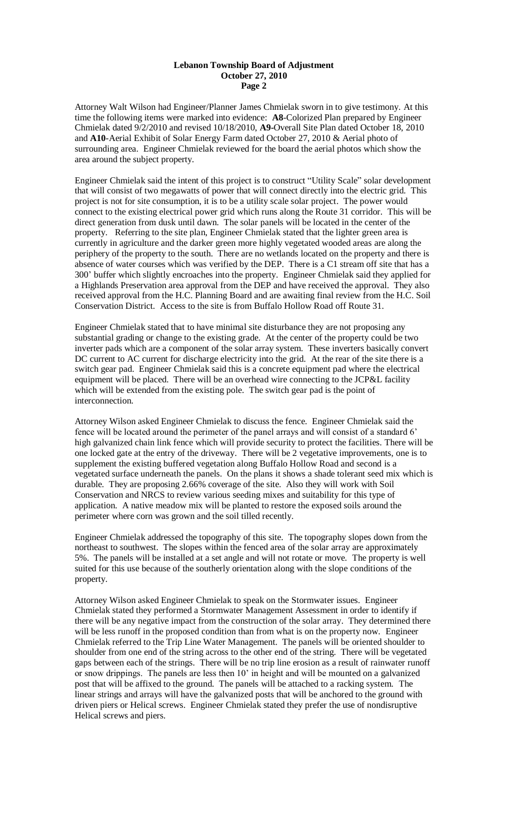## **Lebanon Township Board of Adjustment October 27, 2010 Page 2**

Attorney Walt Wilson had Engineer/Planner James Chmielak sworn in to give testimony. At this time the following items were marked into evidence: **A8**-Colorized Plan prepared by Engineer Chmielak dated 9/2/2010 and revised 10/18/2010, **A9-**Overall Site Plan dated October 18, 2010 and **A10**-Aerial Exhibit of Solar Energy Farm dated October 27, 2010 & Aerial photo of surrounding area. Engineer Chmielak reviewed for the board the aerial photos which show the area around the subject property.

Engineer Chmielak said the intent of this project is to construct "Utility Scale" solar development that will consist of two megawatts of power that will connect directly into the electric grid. This project is not for site consumption, it is to be a utility scale solar project. The power would connect to the existing electrical power grid which runs along the Route 31 corridor. This will be direct generation from dusk until dawn. The solar panels will be located in the center of the property. Referring to the site plan, Engineer Chmielak stated that the lighter green area is currently in agriculture and the darker green more highly vegetated wooded areas are along the periphery of the property to the south. There are no wetlands located on the property and there is absence of water courses which was verified by the DEP. There is a C1 stream off site that has a 300' buffer which slightly encroaches into the property. Engineer Chmielak said they applied for a Highlands Preservation area approval from the DEP and have received the approval. They also received approval from the H.C. Planning Board and are awaiting final review from the H.C. Soil Conservation District. Access to the site is from Buffalo Hollow Road off Route 31.

Engineer Chmielak stated that to have minimal site disturbance they are not proposing any substantial grading or change to the existing grade. At the center of the property could be two inverter pads which are a component of the solar array system. These inverters basically convert DC current to AC current for discharge electricity into the grid. At the rear of the site there is a switch gear pad. Engineer Chmielak said this is a concrete equipment pad where the electrical equipment will be placed. There will be an overhead wire connecting to the JCP&L facility which will be extended from the existing pole. The switch gear pad is the point of interconnection.

Attorney Wilson asked Engineer Chmielak to discuss the fence. Engineer Chmielak said the fence will be located around the perimeter of the panel arrays and will consist of a standard 6' high galvanized chain link fence which will provide security to protect the facilities. There will be one locked gate at the entry of the driveway. There will be 2 vegetative improvements, one is to supplement the existing buffered vegetation along Buffalo Hollow Road and second is a vegetated surface underneath the panels. On the plans it shows a shade tolerant seed mix which is durable. They are proposing 2.66% coverage of the site. Also they will work with Soil Conservation and NRCS to review various seeding mixes and suitability for this type of application. A native meadow mix will be planted to restore the exposed soils around the perimeter where corn was grown and the soil tilled recently.

Engineer Chmielak addressed the topography of this site. The topography slopes down from the northeast to southwest. The slopes within the fenced area of the solar array are approximately 5%. The panels will be installed at a set angle and will not rotate or move. The property is well suited for this use because of the southerly orientation along with the slope conditions of the property.

Attorney Wilson asked Engineer Chmielak to speak on the Stormwater issues. Engineer Chmielak stated they performed a Stormwater Management Assessment in order to identify if there will be any negative impact from the construction of the solar array. They determined there will be less runoff in the proposed condition than from what is on the property now. Engineer Chmielak referred to the Trip Line Water Management. The panels will be oriented shoulder to shoulder from one end of the string across to the other end of the string. There will be vegetated gaps between each of the strings. There will be no trip line erosion as a result of rainwater runoff or snow drippings. The panels are less then 10' in height and will be mounted on a galvanized post that will be affixed to the ground. The panels will be attached to a racking system. The linear strings and arrays will have the galvanized posts that will be anchored to the ground with driven piers or Helical screws. Engineer Chmielak stated they prefer the use of nondisruptive Helical screws and piers.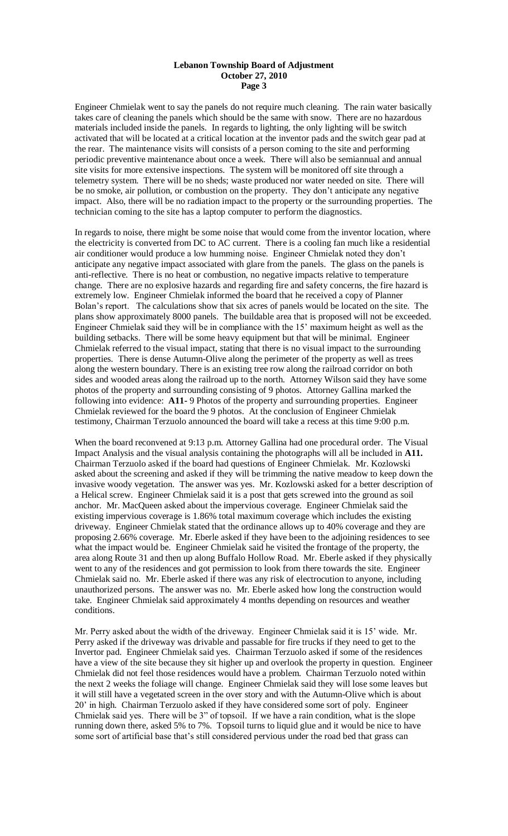## **Lebanon Township Board of Adjustment October 27, 2010 Page 3**

Engineer Chmielak went to say the panels do not require much cleaning. The rain water basically takes care of cleaning the panels which should be the same with snow. There are no hazardous materials included inside the panels. In regards to lighting, the only lighting will be switch activated that will be located at a critical location at the inventor pads and the switch gear pad at the rear. The maintenance visits will consists of a person coming to the site and performing periodic preventive maintenance about once a week. There will also be semiannual and annual site visits for more extensive inspections. The system will be monitored off site through a telemetry system. There will be no sheds; waste produced nor water needed on site. There will be no smoke, air pollution, or combustion on the property. They don't anticipate any negative impact. Also, there will be no radiation impact to the property or the surrounding properties. The technician coming to the site has a laptop computer to perform the diagnostics.

In regards to noise, there might be some noise that would come from the inventor location, where the electricity is converted from DC to AC current. There is a cooling fan much like a residential air conditioner would produce a low humming noise. Engineer Chmielak noted they don't anticipate any negative impact associated with glare from the panels. The glass on the panels is anti-reflective. There is no heat or combustion, no negative impacts relative to temperature change. There are no explosive hazards and regarding fire and safety concerns, the fire hazard is extremely low. Engineer Chmielak informed the board that he received a copy of Planner Bolan's report. The calculations show that six acres of panels would be located on the site. The plans show approximately 8000 panels. The buildable area that is proposed will not be exceeded. Engineer Chmielak said they will be in compliance with the 15' maximum height as well as the building setbacks. There will be some heavy equipment but that will be minimal. Engineer Chmielak referred to the visual impact, stating that there is no visual impact to the surrounding properties. There is dense Autumn-Olive along the perimeter of the property as well as trees along the western boundary. There is an existing tree row along the railroad corridor on both sides and wooded areas along the railroad up to the north. Attorney Wilson said they have some photos of the property and surrounding consisting of 9 photos. Attorney Gallina marked the following into evidence: **A11-** 9 Photos of the property and surrounding properties. Engineer Chmielak reviewed for the board the 9 photos. At the conclusion of Engineer Chmielak testimony, Chairman Terzuolo announced the board will take a recess at this time 9:00 p.m.

When the board reconvened at 9:13 p.m. Attorney Gallina had one procedural order. The Visual Impact Analysis and the visual analysis containing the photographs will all be included in **A11.**  Chairman Terzuolo asked if the board had questions of Engineer Chmielak. Mr. Kozlowski asked about the screening and asked if they will be trimming the native meadow to keep down the invasive woody vegetation. The answer was yes. Mr. Kozlowski asked for a better description of a Helical screw. Engineer Chmielak said it is a post that gets screwed into the ground as soil anchor. Mr. MacQueen asked about the impervious coverage. Engineer Chmielak said the existing impervious coverage is 1.86% total maximum coverage which includes the existing driveway. Engineer Chmielak stated that the ordinance allows up to 40% coverage and they are proposing 2.66% coverage. Mr. Eberle asked if they have been to the adjoining residences to see what the impact would be. Engineer Chmielak said he visited the frontage of the property, the area along Route 31 and then up along Buffalo Hollow Road. Mr. Eberle asked if they physically went to any of the residences and got permission to look from there towards the site. Engineer Chmielak said no. Mr. Eberle asked if there was any risk of electrocution to anyone, including unauthorized persons. The answer was no. Mr. Eberle asked how long the construction would take. Engineer Chmielak said approximately 4 months depending on resources and weather conditions.

Mr. Perry asked about the width of the driveway. Engineer Chmielak said it is 15' wide. Mr. Perry asked if the driveway was drivable and passable for fire trucks if they need to get to the Invertor pad. Engineer Chmielak said yes. Chairman Terzuolo asked if some of the residences have a view of the site because they sit higher up and overlook the property in question. Engineer Chmielak did not feel those residences would have a problem. Chairman Terzuolo noted within the next 2 weeks the foliage will change. Engineer Chmielak said they will lose some leaves but it will still have a vegetated screen in the over story and with the Autumn-Olive which is about 20' in high. Chairman Terzuolo asked if they have considered some sort of poly. Engineer Chmielak said yes. There will be 3" of topsoil. If we have a rain condition, what is the slope running down there, asked 5% to 7%. Topsoil turns to liquid glue and it would be nice to have some sort of artificial base that's still considered pervious under the road bed that grass can